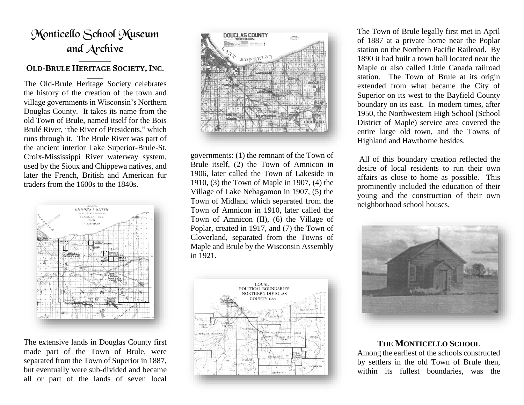# Monticello School Museum and Archive

#### \_\_\_\_\_\_\_\_\_\_\_\_ **OLD-BRULE HERITAGE SOCIETY, INC***.*  $\overline{\phantom{a}}$

The Old-Brule Heritage Society celebrates the history of the creation of the town and village governments in Wisconsin's Northern Douglas County. It takes its name from the old Town of Brule, named itself for the Bois Brulé River, "the River of Presidents," which runs through it. The Brule River was part of the ancient interior Lake Superior-Brule-St. Croix-Mississippi River waterway system, used by the Sioux and Chippewa natives, and later the French, British and American fur traders from the 1600s to the 1840s.



The extensive lands in Douglas County first made part of the Town of Brule, were separated from the Town of Superior in 1887, but eventually were sub-divided and became all or part of the lands of seven local



governments: (1) the remnant of the Town of Brule itself, (2) the Town of Amnicon in 1906, later called the Town of Lakeside in 1910, (3) the Town of Maple in 1907, (4) the Village of Lake Nebagamon in 1907, (5) the Town of Midland which separated from the Town of Amnicon in 1910, later called the Town of Amnicon (II), (6) the Village of Poplar, created in 1917, and (7) the Town of Cloverland, separated from the Towns of Maple and Brule by the Wisconsin Assembly in 1921.



The Town of Brule legally first met in April of 1887 at a private home near the Poplar station on the Northern Pacific Railroad. By 1890 it had built a town hall located near the Maple or also called Little Canada railroad station. The Town of Brule at its origin extended from what became the City of Superior on its west to the Bayfield County boundary on its east. In modern times, after 1950, the Northwestern High School (School District of Maple) service area covered the entire large old town, and the Towns of Highland and Hawthorne besides.

All of this boundary creation reflected the desire of local residents to run their own affairs as close to home as possible. This prominently included the education of their young and the construction of their own neighborhood school houses.



# **THE MONTICELLO SCHOOL**

Among the earliest of the schools constructed by settlers in the old Town of Brule then, within its fullest boundaries, was the